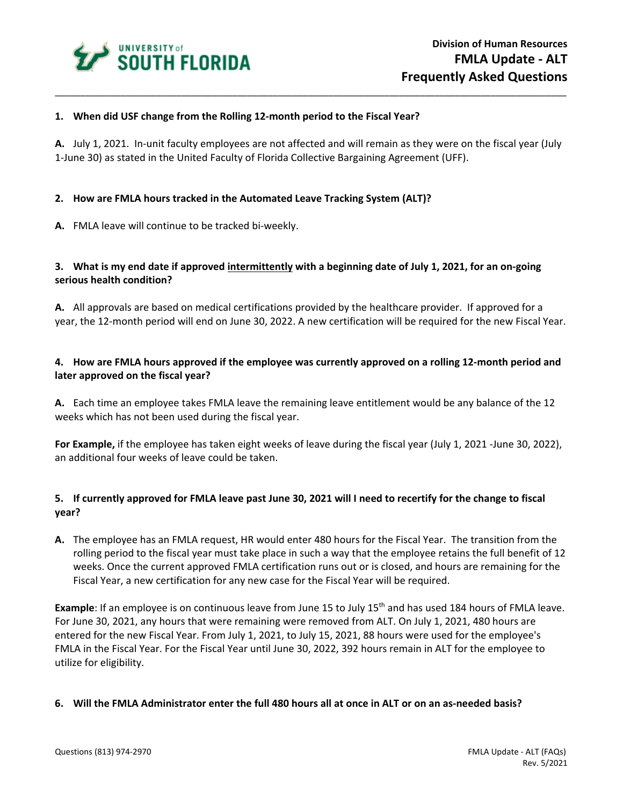

## **1. When did USF change from the Rolling 12-month period to the Fiscal Year?**

**A.** July 1, 2021. In-unit faculty employees are not affected and will remain as they were on the fiscal year (July 1-June 30) as stated in the United Faculty of Florida Collective Bargaining Agreement (UFF).

\_\_\_\_\_\_\_\_\_\_\_\_\_\_\_\_\_\_\_\_\_\_\_\_\_\_\_\_\_\_\_\_\_\_\_\_\_\_\_\_\_\_\_\_\_\_\_\_\_\_\_\_\_\_\_\_\_\_\_\_\_\_\_\_\_\_\_\_\_\_\_\_\_\_\_\_\_\_\_\_\_\_\_\_\_\_\_\_\_\_\_\_\_\_\_\_\_\_\_\_\_

## **2. How are FMLA hours tracked in the Automated Leave Tracking System (ALT)?**

**A.** FMLA leave will continue to be tracked bi-weekly.

# **3. What is my end date if approved intermittently with a beginning date of July 1, 2021, for an on-going serious health condition?**

**A.** All approvals are based on medical certifications provided by the healthcare provider. If approved for a year, the 12-month period will end on June 30, 2022. A new certification will be required for the new Fiscal Year.

# **4. How are FMLA hours approved if the employee was currently approved on a rolling 12-month period and later approved on the fiscal year?**

**A.** Each time an employee takes FMLA leave the remaining leave entitlement would be any balance of the 12 weeks which has not been used during the fiscal year.

**For Example,** if the employee has taken eight weeks of leave during the fiscal year (July 1, 2021 -June 30, 2022), an additional four weeks of leave could be taken.

# **5. If currently approved for FMLA leave past June 30, 2021 will I need to recertify for the change to fiscal year?**

**A.** The employee has an FMLA request, HR would enter 480 hours for the Fiscal Year. The transition from the rolling period to the fiscal year must take place in such a way that the employee retains the full benefit of 12 weeks. Once the current approved FMLA certification runs out or is closed, and hours are remaining for the Fiscal Year, a new certification for any new case for the Fiscal Year will be required.

**Example**: If an employee is on continuous leave from June 15 to July 15<sup>th</sup> and has used 184 hours of FMLA leave. For June 30, 2021, any hours that were remaining were removed from ALT. On July 1, 2021, 480 hours are entered for the new Fiscal Year. From July 1, 2021, to July 15, 2021, 88 hours were used for the employee's FMLA in the Fiscal Year. For the Fiscal Year until June 30, 2022, 392 hours remain in ALT for the employee to utilize for eligibility.

#### **6. Will the FMLA Administrator enter the full 480 hours all at once in ALT or on an as-needed basis?**